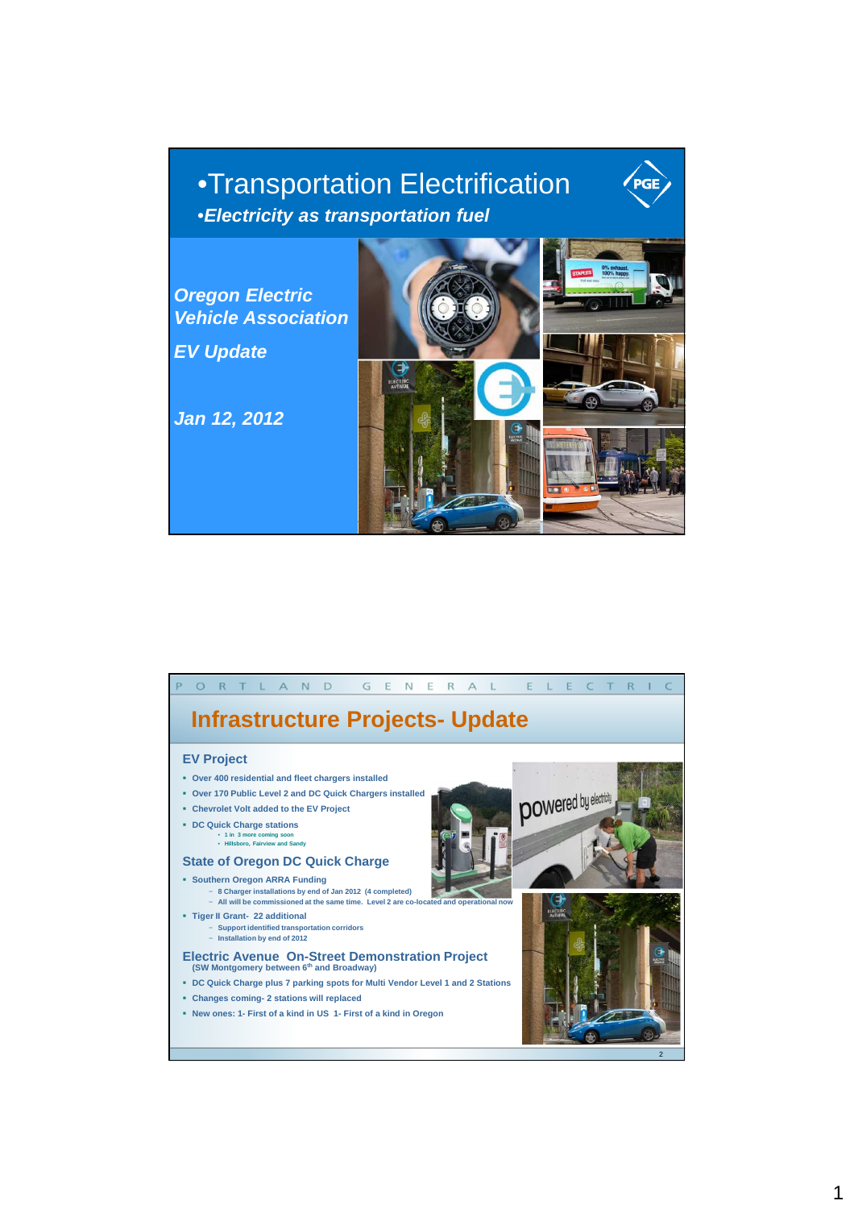## • •Transportation Electrification •**Electricity as transportation fuel**



PGE

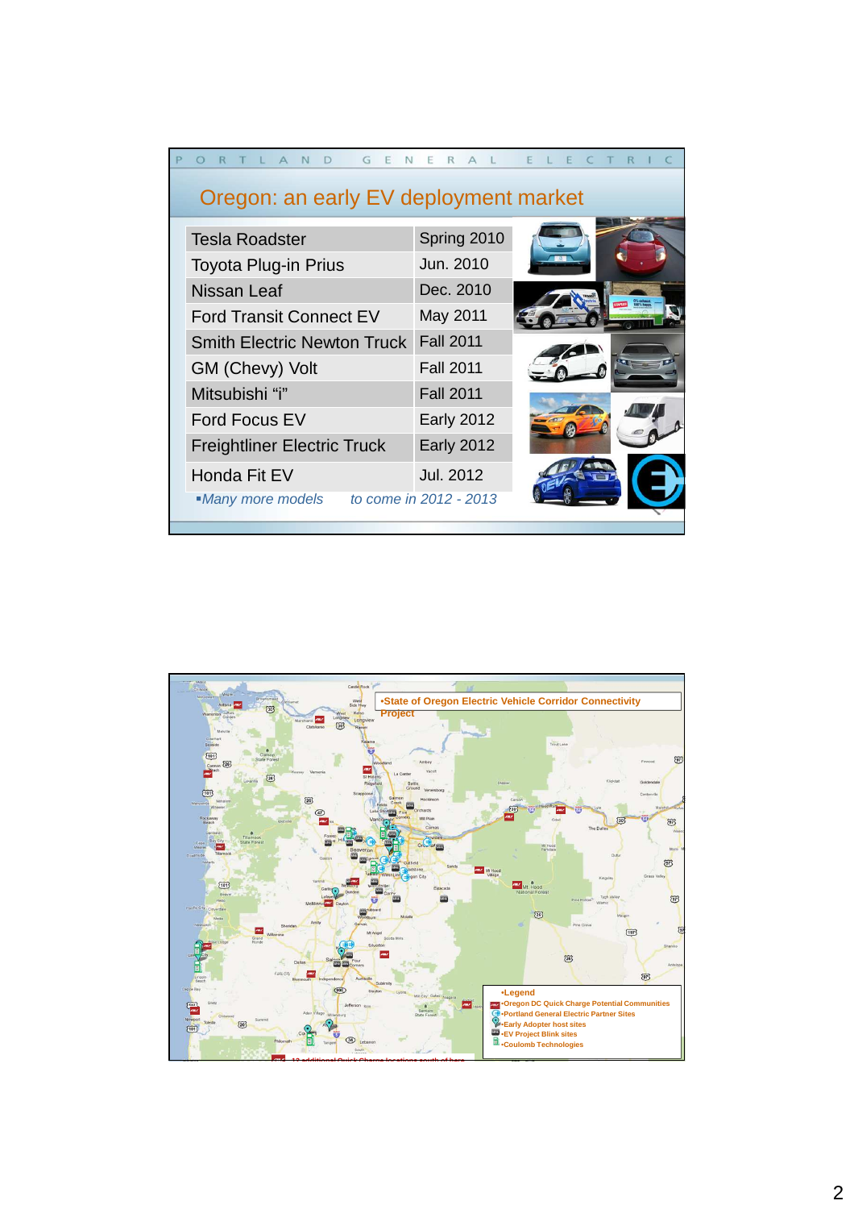|                                             | G E<br>N<br>T L A<br>N | R A               | ELE |  |  |  |
|---------------------------------------------|------------------------|-------------------|-----|--|--|--|
| Oregon: an early EV deployment market       |                        |                   |     |  |  |  |
| <b>Tesla Roadster</b>                       |                        | Spring 2010       |     |  |  |  |
| <b>Toyota Plug-in Prius</b>                 |                        | Jun. 2010         |     |  |  |  |
| Nissan Leaf                                 |                        | Dec. 2010         |     |  |  |  |
| <b>Ford Transit Connect EV</b>              |                        | May 2011          |     |  |  |  |
| <b>Smith Electric Newton Truck</b>          |                        | <b>Fall 2011</b>  |     |  |  |  |
| GM (Chevy) Volt                             |                        | <b>Fall 2011</b>  |     |  |  |  |
| Mitsubishi "i"                              |                        | <b>Fall 2011</b>  |     |  |  |  |
| <b>Ford Focus EV</b>                        |                        | <b>Early 2012</b> |     |  |  |  |
| <b>Freightliner Electric Truck</b>          |                        | <b>Early 2012</b> |     |  |  |  |
| Honda Fit EV                                |                        | <b>Jul. 2012</b>  |     |  |  |  |
| to come in 2012 - 2013<br>•Many more models |                        |                   |     |  |  |  |
|                                             |                        |                   |     |  |  |  |

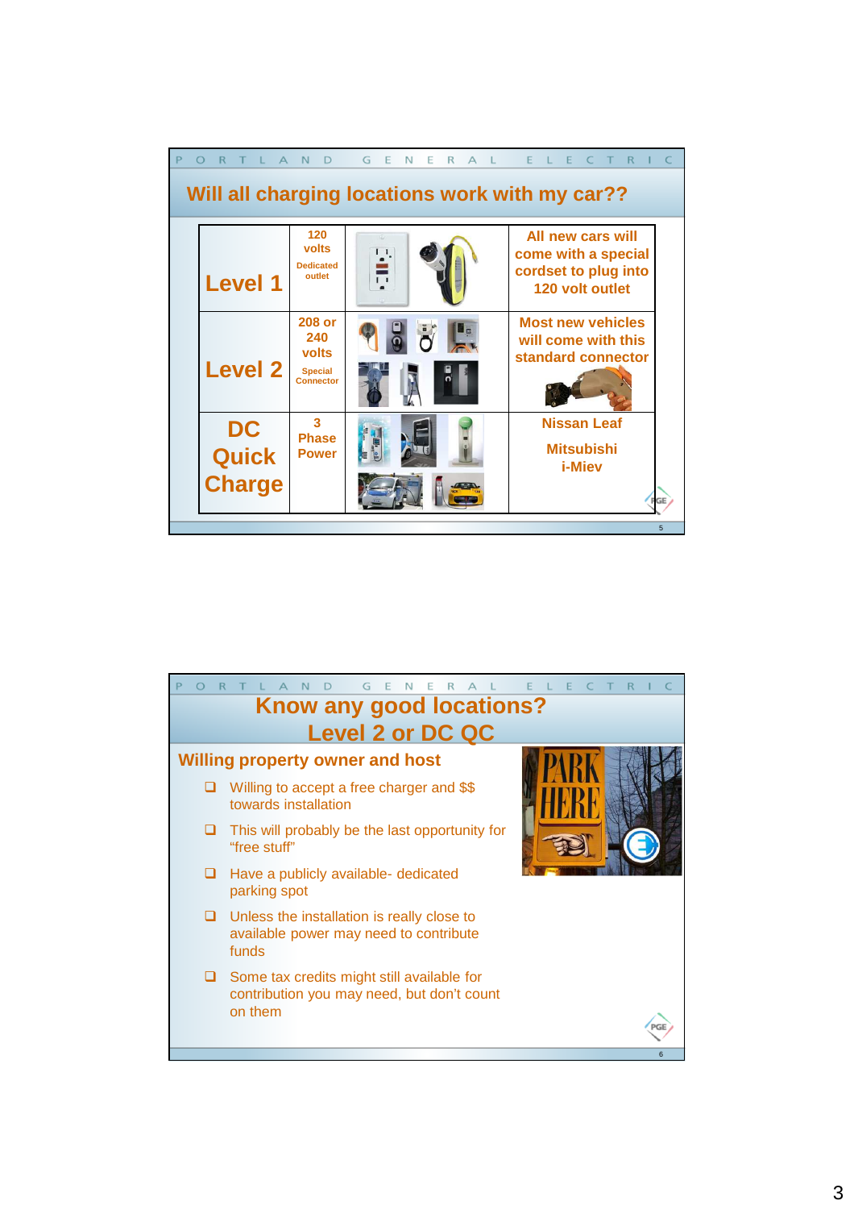|                                                | A N<br>$\mathsf{D}$                                          | G<br>E.<br>$\mathbb N$<br>E<br>$\mathsf{R}$<br>$\Delta$ |                                                                                     |  |  |
|------------------------------------------------|--------------------------------------------------------------|---------------------------------------------------------|-------------------------------------------------------------------------------------|--|--|
| Will all charging locations work with my car?? |                                                              |                                                         |                                                                                     |  |  |
| <b>Level 1</b>                                 | 120<br>volts<br><b>Dedicated</b><br>outlet                   | $\mathbf{I}$                                            | All new cars will<br>come with a special<br>cordset to plug into<br>120 volt outlet |  |  |
| <b>Level 2</b>                                 | 208 or<br>240<br>volts<br><b>Special</b><br><b>Connector</b> |                                                         | <b>Most new vehicles</b><br>will come with this<br>standard connector               |  |  |
| <b>DC</b><br><b>Quick</b><br><b>Charge</b>     | $\mathbf{R}$<br><b>Phase</b><br><b>Power</b>                 | L                                                       | <b>Nissan Leaf</b><br><b>Mitsubishi</b><br><i>i</i> -Miev                           |  |  |
|                                                |                                                              |                                                         | 5                                                                                   |  |  |

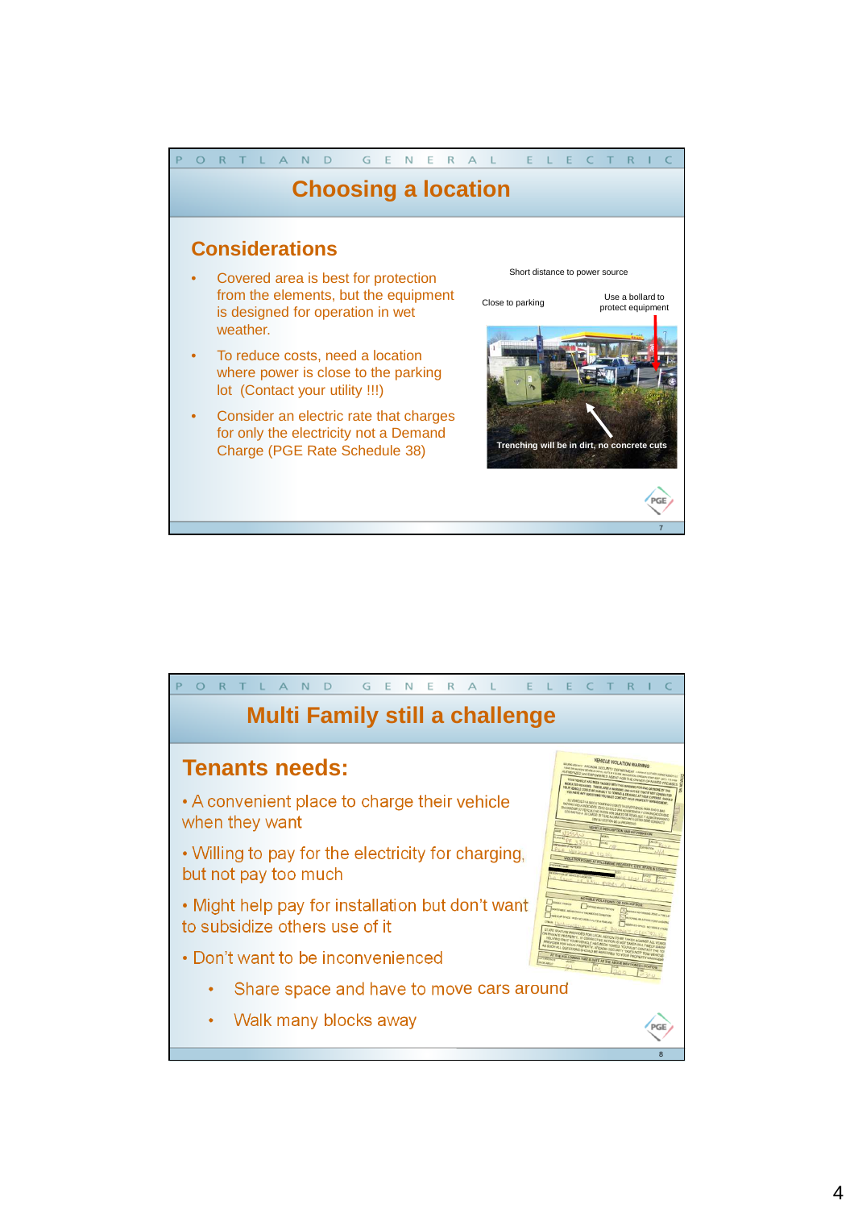